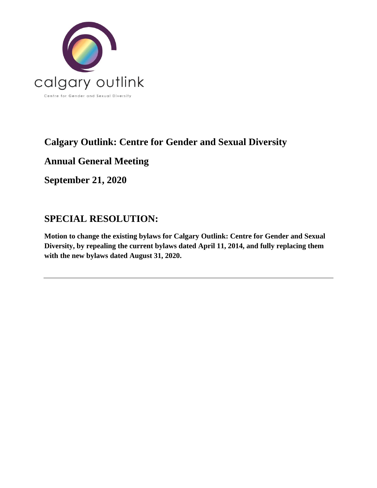

# **Calgary Outlink: Centre for Gender and Sexual Diversity**

**Annual General Meeting**

**September 21, 2020**

# **SPECIAL RESOLUTION:**

**Motion to change the existing bylaws for Calgary Outlink: Centre for Gender and Sexual Diversity, by repealing the current bylaws dated April 11, 2014, and fully replacing them with the new bylaws dated August 31, 2020.**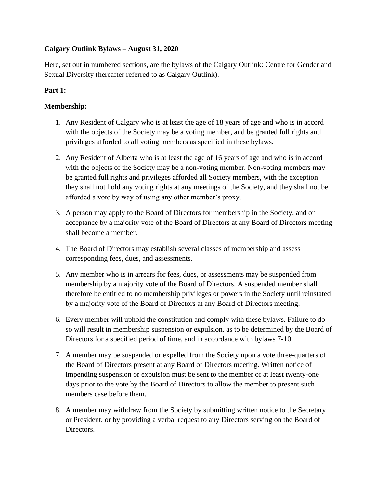# **Calgary Outlink Bylaws – August 31, 2020**

Here, set out in numbered sections, are the bylaws of the Calgary Outlink: Centre for Gender and Sexual Diversity (hereafter referred to as Calgary Outlink).

# **Part 1:**

## **Membership:**

- 1. Any Resident of Calgary who is at least the age of 18 years of age and who is in accord with the objects of the Society may be a voting member, and be granted full rights and privileges afforded to all voting members as specified in these bylaws.
- 2. Any Resident of Alberta who is at least the age of 16 years of age and who is in accord with the objects of the Society may be a non-voting member. Non-voting members may be granted full rights and privileges afforded all Society members, with the exception they shall not hold any voting rights at any meetings of the Society, and they shall not be afforded a vote by way of using any other member's proxy.
- 3. A person may apply to the Board of Directors for membership in the Society, and on acceptance by a majority vote of the Board of Directors at any Board of Directors meeting shall become a member.
- 4. The Board of Directors may establish several classes of membership and assess corresponding fees, dues, and assessments.
- 5. Any member who is in arrears for fees, dues, or assessments may be suspended from membership by a majority vote of the Board of Directors. A suspended member shall therefore be entitled to no membership privileges or powers in the Society until reinstated by a majority vote of the Board of Directors at any Board of Directors meeting.
- 6. Every member will uphold the constitution and comply with these bylaws. Failure to do so will result in membership suspension or expulsion, as to be determined by the Board of Directors for a specified period of time, and in accordance with bylaws 7-10.
- 7. A member may be suspended or expelled from the Society upon a vote three-quarters of the Board of Directors present at any Board of Directors meeting. Written notice of impending suspension or expulsion must be sent to the member of at least twenty-one days prior to the vote by the Board of Directors to allow the member to present such members case before them.
- 8. A member may withdraw from the Society by submitting written notice to the Secretary or President, or by providing a verbal request to any Directors serving on the Board of Directors.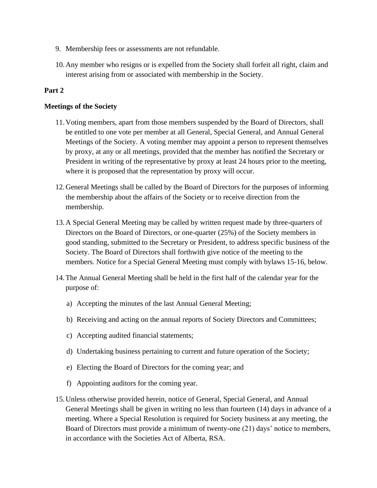- 9. Membership fees or assessments are not refundable.
- 10.Any member who resigns or is expelled from the Society shall forfeit all right, claim and interest arising from or associated with membership in the Society.

## **Meetings of the Society**

- 11.Voting members, apart from those members suspended by the Board of Directors, shall be entitled to one vote per member at all General, Special General, and Annual General Meetings of the Society. A voting member may appoint a person to represent themselves by proxy, at any or all meetings, provided that the member has notified the Secretary or President in writing of the representative by proxy at least 24 hours prior to the meeting, where it is proposed that the representation by proxy will occur.
- 12.General Meetings shall be called by the Board of Directors for the purposes of informing the membership about the affairs of the Society or to receive direction from the membership.
- 13.A Special General Meeting may be called by written request made by three-quarters of Directors on the Board of Directors, or one-quarter (25%) of the Society members in good standing, submitted to the Secretary or President, to address specific business of the Society. The Board of Directors shall forthwith give notice of the meeting to the members. Notice for a Special General Meeting must comply with bylaws 15-16, below.
- 14.The Annual General Meeting shall be held in the first half of the calendar year for the purpose of:
	- a) Accepting the minutes of the last Annual General Meeting;
	- b) Receiving and acting on the annual reports of Society Directors and Committees;
	- c) Accepting audited financial statements;
	- d) Undertaking business pertaining to current and future operation of the Society;
	- e) Electing the Board of Directors for the coming year; and
	- f) Appointing auditors for the coming year.
- 15.Unless otherwise provided herein, notice of General, Special General, and Annual General Meetings shall be given in writing no less than fourteen (14) days in advance of a meeting. Where a Special Resolution is required for Society business at any meeting, the Board of Directors must provide a minimum of twenty-one (21) days' notice to members, in accordance with the Societies Act of Alberta, RSA.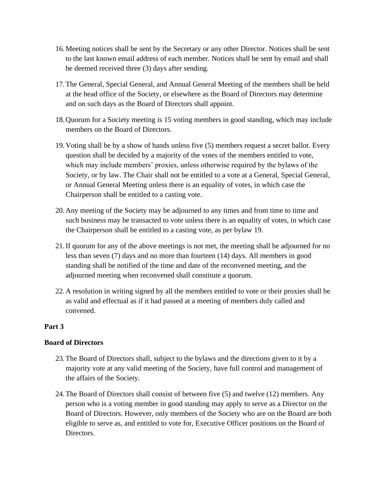- 16.Meeting notices shall be sent by the Secretary or any other Director. Notices shall be sent to the last known email address of each member. Notices shall be sent by email and shall be deemed received three (3) days after sending.
- 17.The General, Special General, and Annual General Meeting of the members shall be held at the head office of the Society, or elsewhere as the Board of Directors may determine and on such days as the Board of Directors shall appoint.
- 18.Quorum for a Society meeting is 15 voting members in good standing, which may include members on the Board of Directors.
- 19.Voting shall be by a show of hands unless five (5) members request a secret ballot. Every question shall be decided by a majority of the votes of the members entitled to vote, which may include members' proxies, unless otherwise required by the bylaws of the Society, or by law. The Chair shall not be entitled to a vote at a General, Special General, or Annual General Meeting unless there is an equality of votes, in which case the Chairperson shall be entitled to a casting vote.
- 20.Any meeting of the Society may be adjourned to any times and from time to time and such business may be transacted to vote unless there is an equality of votes, in which case the Chairperson shall be entitled to a casting vote, as per bylaw 19.
- 21.If quorum for any of the above meetings is not met, the meeting shall be adjourned for no less than seven (7) days and no more than fourteen (14) days. All members in good standing shall be notified of the time and date of the reconvened meeting, and the adjourned meeting when reconvened shall constitute a quorum.
- 22.A resolution in writing signed by all the members entitled to vote or their proxies shall be as valid and effectual as if it had passed at a meeting of members duly called and convened.

## **Board of Directors**

- 23.The Board of Directors shall, subject to the bylaws and the directions given to it by a majority vote at any valid meeting of the Society, have full control and management of the affairs of the Society.
- 24.The Board of Directors shall consist of between five (5) and twelve (12) members. Any person who is a voting member in good standing may apply to serve as a Director on the Board of Directors. However, only members of the Society who are on the Board are both eligible to serve as, and entitled to vote for, Executive Officer positions on the Board of Directors.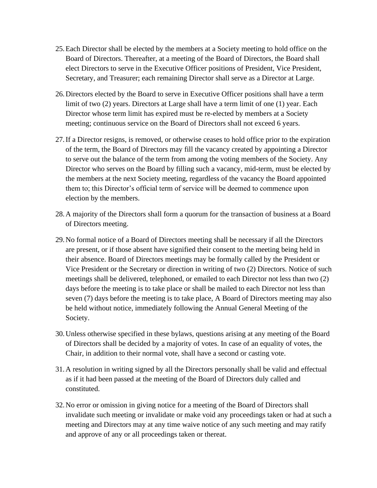- 25.Each Director shall be elected by the members at a Society meeting to hold office on the Board of Directors. Thereafter, at a meeting of the Board of Directors, the Board shall elect Directors to serve in the Executive Officer positions of President, Vice President, Secretary, and Treasurer; each remaining Director shall serve as a Director at Large.
- 26.Directors elected by the Board to serve in Executive Officer positions shall have a term limit of two (2) years. Directors at Large shall have a term limit of one (1) year. Each Director whose term limit has expired must be re-elected by members at a Society meeting; continuous service on the Board of Directors shall not exceed 6 years.
- 27.If a Director resigns, is removed, or otherwise ceases to hold office prior to the expiration of the term, the Board of Directors may fill the vacancy created by appointing a Director to serve out the balance of the term from among the voting members of the Society. Any Director who serves on the Board by filling such a vacancy, mid-term, must be elected by the members at the next Society meeting, regardless of the vacancy the Board appointed them to; this Director's official term of service will be deemed to commence upon election by the members.
- 28.A majority of the Directors shall form a quorum for the transaction of business at a Board of Directors meeting.
- 29.No formal notice of a Board of Directors meeting shall be necessary if all the Directors are present, or if those absent have signified their consent to the meeting being held in their absence. Board of Directors meetings may be formally called by the President or Vice President or the Secretary or direction in writing of two (2) Directors. Notice of such meetings shall be delivered, telephoned, or emailed to each Director not less than two (2) days before the meeting is to take place or shall be mailed to each Director not less than seven (7) days before the meeting is to take place, A Board of Directors meeting may also be held without notice, immediately following the Annual General Meeting of the Society.
- 30.Unless otherwise specified in these bylaws, questions arising at any meeting of the Board of Directors shall be decided by a majority of votes. In case of an equality of votes, the Chair, in addition to their normal vote, shall have a second or casting vote.
- 31.A resolution in writing signed by all the Directors personally shall be valid and effectual as if it had been passed at the meeting of the Board of Directors duly called and constituted.
- 32.No error or omission in giving notice for a meeting of the Board of Directors shall invalidate such meeting or invalidate or make void any proceedings taken or had at such a meeting and Directors may at any time waive notice of any such meeting and may ratify and approve of any or all proceedings taken or thereat.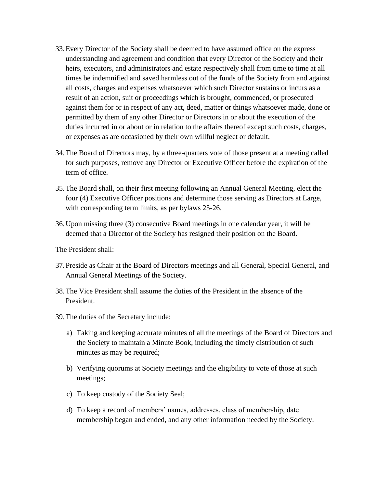- 33.Every Director of the Society shall be deemed to have assumed office on the express understanding and agreement and condition that every Director of the Society and their heirs, executors, and administrators and estate respectively shall from time to time at all times be indemnified and saved harmless out of the funds of the Society from and against all costs, charges and expenses whatsoever which such Director sustains or incurs as a result of an action, suit or proceedings which is brought, commenced, or prosecuted against them for or in respect of any act, deed, matter or things whatsoever made, done or permitted by them of any other Director or Directors in or about the execution of the duties incurred in or about or in relation to the affairs thereof except such costs, charges, or expenses as are occasioned by their own willful neglect or default.
- 34.The Board of Directors may, by a three-quarters vote of those present at a meeting called for such purposes, remove any Director or Executive Officer before the expiration of the term of office.
- 35.The Board shall, on their first meeting following an Annual General Meeting, elect the four (4) Executive Officer positions and determine those serving as Directors at Large, with corresponding term limits, as per bylaws 25-26.
- 36.Upon missing three (3) consecutive Board meetings in one calendar year, it will be deemed that a Director of the Society has resigned their position on the Board.

The President shall:

- 37.Preside as Chair at the Board of Directors meetings and all General, Special General, and Annual General Meetings of the Society.
- 38.The Vice President shall assume the duties of the President in the absence of the President.
- 39.The duties of the Secretary include:
	- a) Taking and keeping accurate minutes of all the meetings of the Board of Directors and the Society to maintain a Minute Book, including the timely distribution of such minutes as may be required;
	- b) Verifying quorums at Society meetings and the eligibility to vote of those at such meetings;
	- c) To keep custody of the Society Seal;
	- d) To keep a record of members' names, addresses, class of membership, date membership began and ended, and any other information needed by the Society.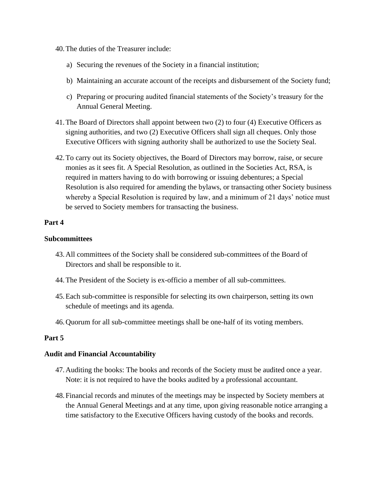- 40.The duties of the Treasurer include:
	- a) Securing the revenues of the Society in a financial institution;
	- b) Maintaining an accurate account of the receipts and disbursement of the Society fund;
	- c) Preparing or procuring audited financial statements of the Society's treasury for the Annual General Meeting.
- 41.The Board of Directors shall appoint between two (2) to four (4) Executive Officers as signing authorities, and two (2) Executive Officers shall sign all cheques. Only those Executive Officers with signing authority shall be authorized to use the Society Seal.
- 42.To carry out its Society objectives, the Board of Directors may borrow, raise, or secure monies as it sees fit. A Special Resolution, as outlined in the Societies Act, RSA, is required in matters having to do with borrowing or issuing debentures; a Special Resolution is also required for amending the bylaws, or transacting other Society business whereby a Special Resolution is required by law, and a minimum of 21 days' notice must be served to Society members for transacting the business.

#### **Subcommittees**

- 43.All committees of the Society shall be considered sub-committees of the Board of Directors and shall be responsible to it.
- 44.The President of the Society is ex-officio a member of all sub-committees.
- 45.Each sub-committee is responsible for selecting its own chairperson, setting its own schedule of meetings and its agenda.
- 46.Quorum for all sub-committee meetings shall be one-half of its voting members.

## **Part 5**

#### **Audit and Financial Accountability**

- 47.Auditing the books: The books and records of the Society must be audited once a year. Note: it is not required to have the books audited by a professional accountant.
- 48.Financial records and minutes of the meetings may be inspected by Society members at the Annual General Meetings and at any time, upon giving reasonable notice arranging a time satisfactory to the Executive Officers having custody of the books and records.